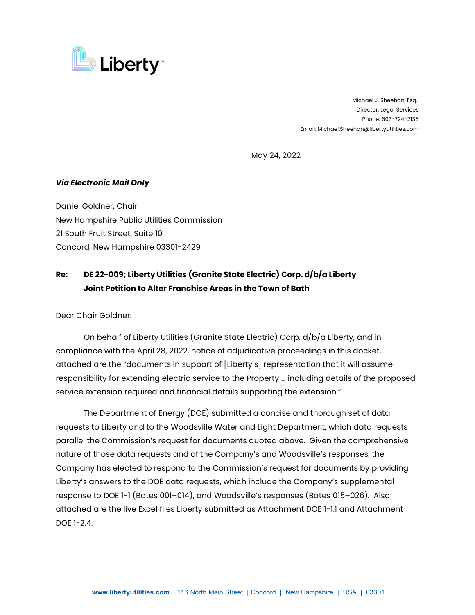

 Michael J. Sheehan, Esq. Director, Legal Services Phone: 603-724-2135 Email: Michael.Sheehan@libertyutilities.com

May 24, 2022

## *Via Electronic Mail Only*

Daniel Goldner, Chair New Hampshire Public Utilities Commission 21 South Fruit Street, Suite 10 Concord, New Hampshire 03301-2429

## **Re: DE 22-009; Liberty Utilities (Granite State Electric) Corp. d/b/a Liberty Joint Petition to Alter Franchise Areas in the Town of Bath**

Dear Chair Goldner:

On behalf of Liberty Utilities (Granite State Electric) Corp. d/b/a Liberty, and in compliance with the April 28, 2022, notice of adjudicative proceedings in this docket, attached are the "documents in support of [Liberty's] representation that it will assume responsibility for extending electric service to the Property … including details of the proposed service extension required and financial details supporting the extension."

The Department of Energy (DOE) submitted a concise and thorough set of data requests to Liberty and to the Woodsville Water and Light Department, which data requests parallel the Commission's request for documents quoted above. Given the comprehensive nature of those data requests and of the Company's and Woodsville's responses, the Company has elected to respond to the Commission's request for documents by providing Liberty's answers to the DOE data requests, which include the Company's supplemental response to DOE 1-1 (Bates 001–014), and Woodsville's responses (Bates 015–026). Also attached are the live Excel files Liberty submitted as Attachment DOE 1-1.1 and Attachment DOE 1-2.4.